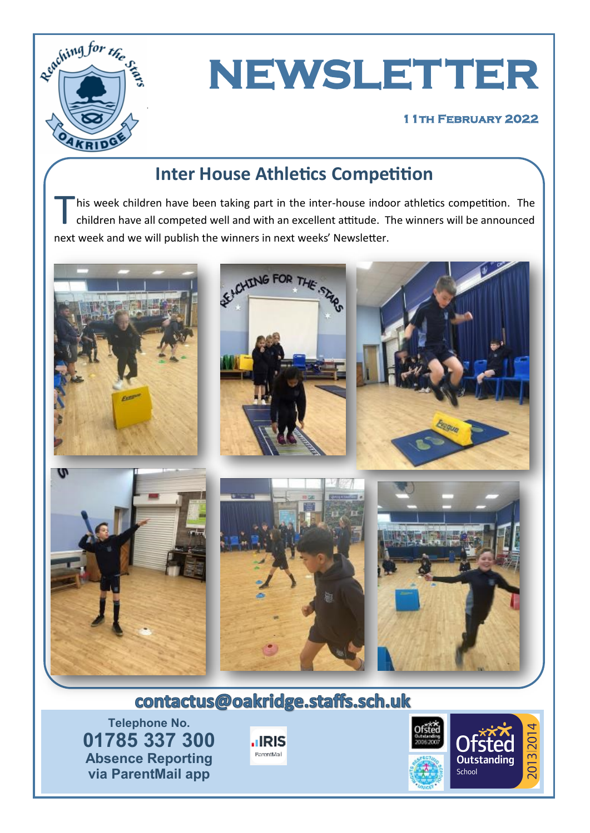

# **NEWSLETTER**

#### **11th February 2022**

# **Inter House Athletics Competition**

T his week children have been taking part in the inter-house indoor athletics competition. The children have all competed well and with an excellent attitude. The winners will be announced next week and we will publish the winners in next weeks' Newsletter.



# contactus@oakridge.staffs.sch.uk

**Telephone No. 01785 337 300 Absence Reporting via ParentMail app**



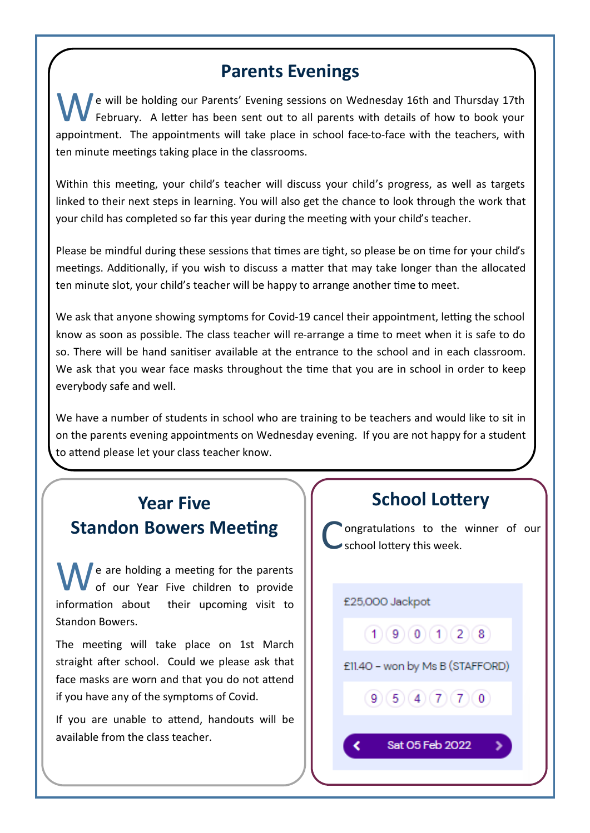#### **Parents Evenings**

e will be holding our Parents' Evening sessions on Wednesday 16th and Thursday 17th February. A letter has been sent out to all parents with details of how to book your appointment. The appointments will take place in school face-to-face with the teachers, with ten minute meetings taking place in the classrooms.

Within this meeting, your child's teacher will discuss your child's progress, as well as targets linked to their next steps in learning. You will also get the chance to look through the work that your child has completed so far this year during the meeting with your child's teacher.

Please be mindful during these sessions that times are tight, so please be on time for your child's meetings. Additionally, if you wish to discuss a matter that may take longer than the allocated ten minute slot, your child's teacher will be happy to arrange another time to meet.

We ask that anyone showing symptoms for Covid-19 cancel their appointment, letting the school know as soon as possible. The class teacher will re-arrange a time to meet when it is safe to do so. There will be hand sanitiser available at the entrance to the school and in each classroom. We ask that you wear face masks throughout the time that you are in school in order to keep everybody safe and well.

We have a number of students in school who are training to be teachers and would like to sit in on the parents evening appointments on Wednesday evening. If you are not happy for a student to attend please let your class teacher know.

#### **Year Five Standon Bowers Meeting**

 $\blacksquare$  e are holding a meeting for the parents of our Year Five children to provide information about their upcoming visit to Standon Bowers.

The meeting will take place on 1st March straight after school. Could we please ask that face masks are worn and that you do not attend if you have any of the symptoms of Covid.

If you are unable to attend, handouts will be available from the class teacher.

#### **School Lottery**

C ongratulations to the winner of our school lottery this week.

£25,000 Jackpot

∢

 $(1)(9)(0)(1)(2)(8)$ 

£11.40 - won by Ms B (STAFFORD)

 $(9)(5)(4)(7)(7)(0)$ 

Sat 05 Feb 2022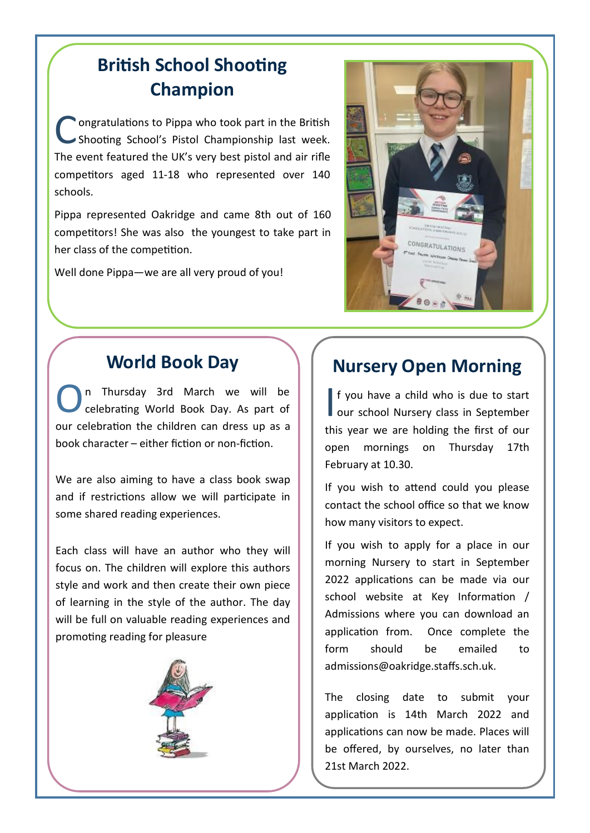# **British School Shooting Champion**

C ongratulations to Pippa who took part in the British Shooting School's Pistol Championship last week. The event featured the UK's very best pistol and air rifle competitors aged 11-18 who represented over 140 schools.

Pippa represented Oakridge and came 8th out of 160 competitors! She was also the youngest to take part in her class of the competition.

Well done Pippa—we are all very proud of you!



# **World Book Day**

O n Thursday 3rd March we will be celebrating World Book Day. As part of our celebration the children can dress up as a book character – either fiction or non-fiction.

We are also aiming to have a class book swap and if restrictions allow we will participate in some shared reading experiences.

Each class will have an author who they will focus on. The children will explore this authors style and work and then create their own piece of learning in the style of the author. The day will be full on valuable reading experiences and promoting reading for pleasure



# **Nursery Open Morning**

If you have a child who is due to start<br>our school Nursery class in September f you have a child who is due to start this year we are holding the first of our open mornings on Thursday 17th February at 10.30.

If you wish to attend could you please contact the school office so that we know how many visitors to expect.

If you wish to apply for a place in our morning Nursery to start in September 2022 applications can be made via our school website at Key Information / Admissions where you can download an application from. Once complete the form should be emailed to admissions@oakridge.staffs.sch.uk.

The closing date to submit your application is 14th March 2022 and applications can now be made. Places will be offered, by ourselves, no later than 21st March 2022.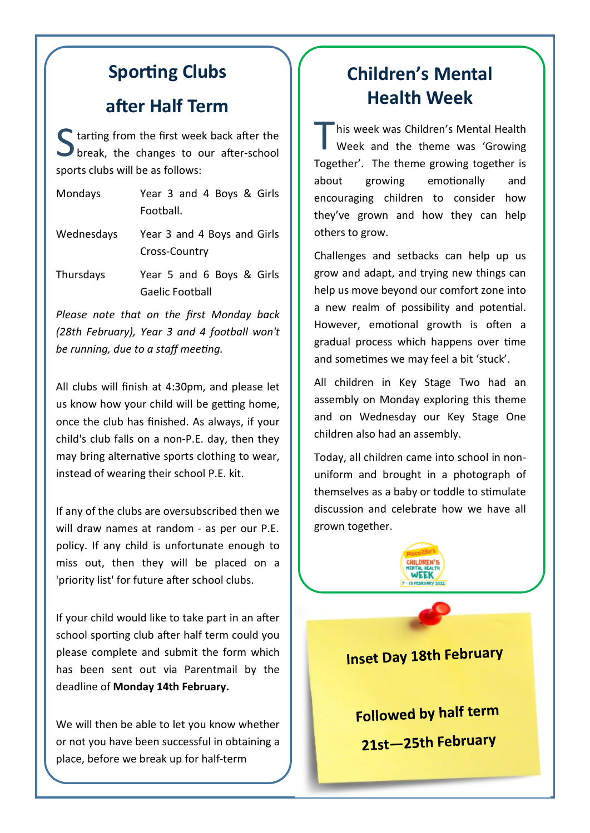#### **Sporting Clubs**

#### **after Half Term**

S tarting from the first week back after the break, the changes to our after-school sports clubs will be as follows:

| Mondays    | Year 3 and 4 Boys & Girls<br>Football.       |
|------------|----------------------------------------------|
| Wednesdays | Year 3 and 4 Boys and Girls<br>Cross-Country |
| Thursdays  | Year 5 and 6 Boys & Girls<br>Gaelic Football |

*Please note that on the first Monday back (28th February), Year 3 and 4 football won't be running, due to a staff meeting.*

All clubs will finish at 4:30pm, and please let us know how your child will be getting home, once the club has finished. As always, if your child's club falls on a non-P.E. day, then they may bring alternative sports clothing to wear, instead of wearing their school P.E. kit.

If any of the clubs are oversubscribed then we will draw names at random - as per our P.E. policy. If any child is unfortunate enough to miss out, then they will be placed on a 'priority list' for future after school clubs.

If your child would like to take part in an after school sporting club after half term could you please complete and submit the form which has been sent out via Parentmail by the deadline of **Monday 14th February.**

We will then be able to let you know whether or not you have been successful in obtaining a place, before we break up for half-term

# **Children's Mental Health Week**

T his week was Children's Mental Health Week and the theme was 'Growing Together'. The theme growing together is about growing emotionally and encouraging children to consider how they've grown and how they can help others to grow.

Challenges and setbacks can help up us grow and adapt, and trying new things can help us move beyond our comfort zone into a new realm of possibility and potential. However, emotional growth is often a gradual process which happens over time and sometimes we may feel a bit 'stuck'.

All children in Key Stage Two had an assembly on Monday exploring this theme and on Wednesday our Key Stage One children also had an assembly.

Today, all children came into school in nonuniform and brought in a photograph of themselves as a baby or toddle to stimulate discussion and celebrate how we have all grown together.



**Inset Day 18th February** 

Followed by half term 21st-25th February